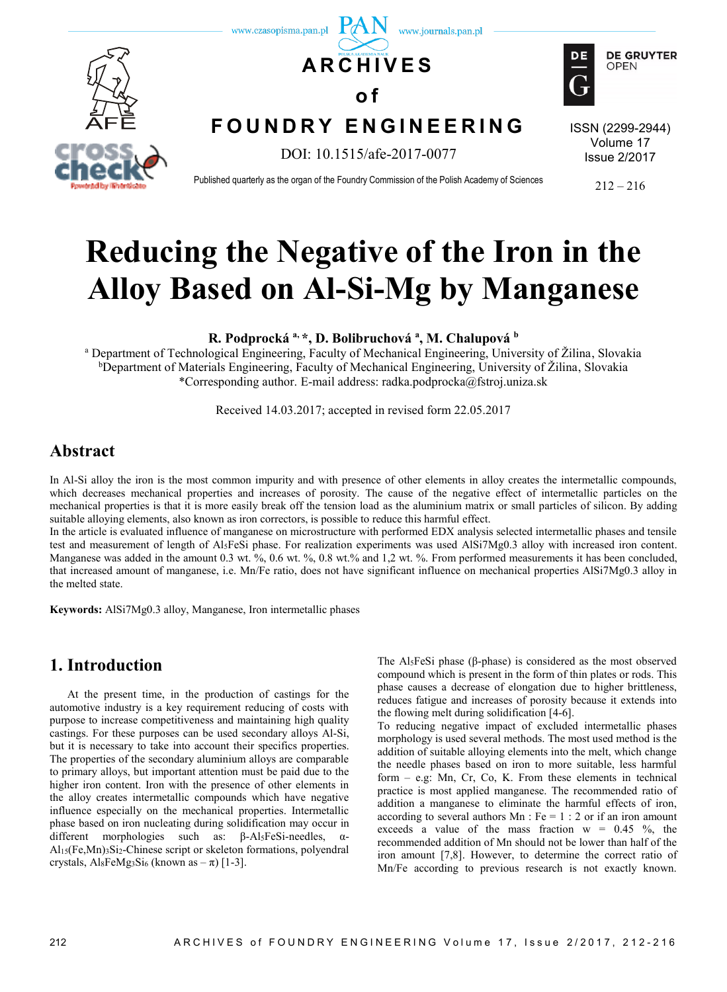

# **Reducing the Negative of the Iron in the Alloy Based on Al-Si-Mg by Manganese**

**R. Podprocká a, \*, D. Bolibruchová <sup>a</sup> , M. Chalupová <sup>b</sup>**

<sup>a</sup> Department of Technological Engineering, Faculty of Mechanical Engineering, University of Žilina, Slovakia <sup>b</sup>Department of Materials Engineering, Faculty of Mechanical Engineering, University of Žilina, Slovakia \*Corresponding author. E-mail address: radka.podprocka@fstroj.uniza.sk

Received 14.03.2017; accepted in revised form 22.05.2017

## **Abstract**

In Al-Si alloy the iron is the most common impurity and with presence of other elements in alloy creates the intermetallic compounds, which decreases mechanical properties and increases of porosity. The cause of the negative effect of intermetallic particles on the mechanical properties is that it is more easily break off the tension load as the aluminium matrix or small particles of silicon. By adding suitable alloying elements, also known as iron correctors, is possible to reduce this harmful effect.

In the article is evaluated influence of manganese on microstructure with performed EDX analysis selected intermetallic phases and tensile test and measurement of length of Al5FeSi phase. For realization experiments was used AlSi7Mg0.3 alloy with increased iron content. Manganese was added in the amount 0.3 wt. %, 0.6 wt. %, 0.8 wt. % and 1,2 wt. %. From performed measurements it has been concluded, that increased amount of manganese, i.e. Mn/Fe ratio, does not have significant influence on mechanical properties AlSi7Mg0.3 alloy in the melted state.

**Keywords:** AlSi7Mg0.3 alloy, Manganese, Iron intermetallic phases

### **1. Introduction**

At the present time, in the production of castings for the automotive industry is a key requirement reducing of costs with purpose to increase competitiveness and maintaining high quality castings. For these purposes can be used secondary alloys Al-Si, but it is necessary to take into account their specifics properties. The properties of the secondary aluminium alloys are comparable to primary alloys, but important attention must be paid due to the higher iron content. Iron with the presence of other elements in the alloy creates intermetallic compounds which have negative influence especially on the mechanical properties. Intermetallic phase based on iron nucleating during solidification may occur in different morphologies such as: β-Al5FeSi-needles, α-Al15(Fe,Mn)3Si2-Chinese script or skeleton formations, polyendral crystals,  $Al_8FeMg_3Si_6$  (known as  $-\pi$ ) [1-3].

The Al5FeSi phase (β-phase) is considered as the most observed compound which is present in the form of thin plates or rods. This phase causes a decrease of elongation due to higher brittleness, reduces fatigue and increases of porosity because it extends into the flowing melt during solidification [4-6].

To reducing negative impact of excluded intermetallic phases morphology is used several methods. The most used method is the addition of suitable alloying elements into the melt, which change the needle phases based on iron to more suitable, less harmful form – e.g: Mn, Cr, Co, K. From these elements in technical practice is most applied manganese. The recommended ratio of addition a manganese to eliminate the harmful effects of iron, according to several authors  $Mn$ : Fe = 1 : 2 or if an iron amount exceeds a value of the mass fraction  $w = 0.45 \%$ , the recommended addition of Mn should not be lower than half of the iron amount [7,8]. However, to determine the correct ratio of Mn/Fe according to previous research is not exactly known.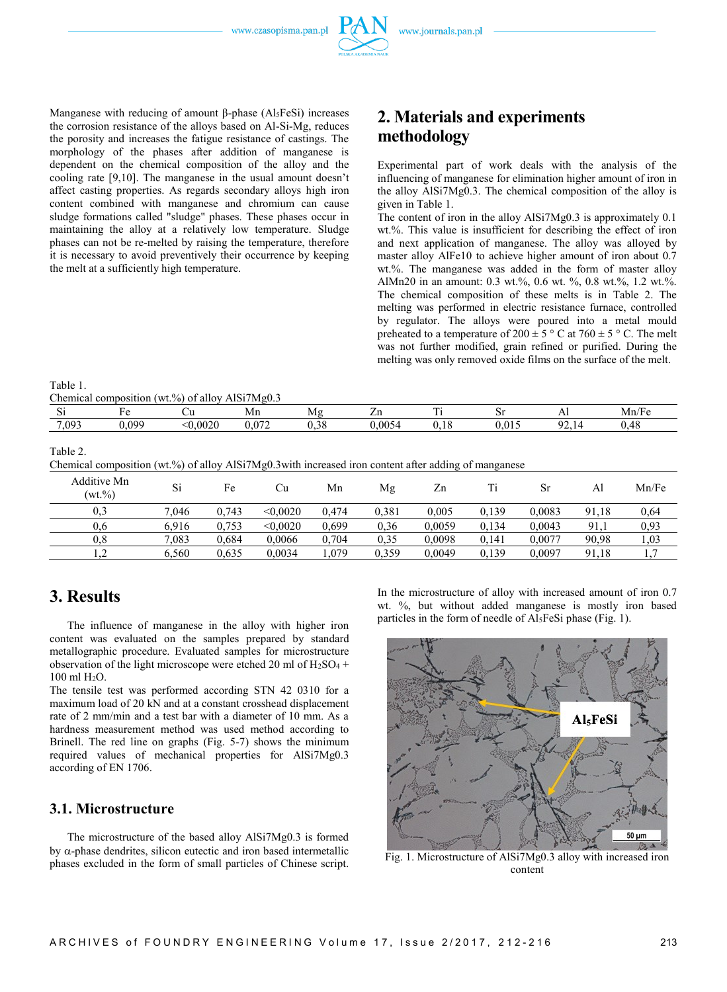Manganese with reducing of amount β-phase  $(Al<sub>5</sub>FeSi)$  increases the corrosion resistance of the alloys based on Al-Si-Mg, reduces the porosity and increases the fatigue resistance of castings. The morphology of the phases after addition of manganese is dependent on the chemical composition of the alloy and the cooling rate [9,10]. The manganese in the usual amount doesn't affect casting properties. As regards secondary alloys high iron content combined with manganese and chromium can cause sludge formations called "sludge" phases. These phases occur in maintaining the alloy at a relatively low temperature. Sludge phases can not be re-melted by raising the temperature, therefore it is necessary to avoid preventively their occurrence by keeping the melt at a sufficiently high temperature.

# **2. Materials and experiments methodology**

Experimental part of work deals with the analysis of the influencing of manganese for elimination higher amount of iron in the alloy AlSi7Mg0.3. The chemical composition of the alloy is given in Table 1.

The content of iron in the alloy AlSi7Mg0.3 is approximately 0.1 wt.%. This value is insufficient for describing the effect of iron and next application of manganese. The alloy was alloyed by master alloy AlFe10 to achieve higher amount of iron about 0.7 wt.%. The manganese was added in the form of master alloy AlMn20 in an amount: 0.3 wt.%, 0.6 wt. %, 0.8 wt.%, 1.2 wt.%. The chemical composition of these melts is in Table 2. The melting was performed in electric resistance furnace, controlled by regulator. The alloys were poured into a metal mould preheated to a temperature of  $200 \pm 5$  ° C at  $760 \pm 5$  ° C. The melt was not further modified, grain refined or purified. During the melting was only removed oxide films on the surface of the melt.

Table 1. Chemical composition (wt.%) of alloy  $AISi7M\varphi$  3

|          | $\alpha$ |       | $\sim$ 01 ano, 1 months $\sim$ |                  |       |                          |      |                   |                                                    |
|----------|----------|-------|--------------------------------|------------------|-------|--------------------------|------|-------------------|----------------------------------------------------|
| e.<br>ΩI |          | ◡u    | Mn                             | л / І<br>.       | - 11  | $\overline{\phantom{a}}$ |      | .                 | Mn/F                                               |
| 7.093    | .099     | .002C | 0.70<br>.                      | $\Omega$<br>,,,, | .0054 | - - -                    | v.v. | $\sim$<br>u.<br>. | $\overline{ }$<br>$\sqrt{2}$<br>v. <del>-r</del> e |

Table 2.

Chemical composition (wt.%) of alloy AlSi7Mg0.3with increased iron content after adding of manganese

| Additive Mn<br>$(wt. \% )$ | Si    | Fe    | Сu       | Mn    | Mg    | Zn     |       |        | Al    | Mn/Fe |
|----------------------------|-------|-------|----------|-------|-------|--------|-------|--------|-------|-------|
| 0,3                        | 7.046 | 0.743 | < 0.0020 | 0.474 | 0.381 | 0.005  | 0.139 | 0.0083 | 91.18 | 0.64  |
| 0.6                        | 6.916 | 0,753 | < 0.0020 | 0,699 | 0.36  | 0.0059 | 0.134 | 0.0043 | 91,1  | 0,93  |
| $_{0.8}$                   | 7,083 | 0,684 | 0,0066   | 0,704 | 0.35  | 0.0098 | 0.141 | 0,0077 | 90,98 | 1,03  |
| $\overline{1}$ .           | 6,560 | 0.635 | 0,0034   | ,079  | 0.359 | 0,0049 | 0,139 | 0.0097 | 91.18 |       |

## **3. Results**

The influence of manganese in the alloy with higher iron content was evaluated on the samples prepared by standard metallographic procedure. Evaluated samples for microstructure observation of the light microscope were etched 20 ml of  $H<sub>2</sub>SO<sub>4</sub>$  + 100 ml H2O.

The tensile test was performed according STN 42 0310 for a maximum load of 20 kN and at a constant crosshead displacement rate of 2 mm/min and a test bar with a diameter of 10 mm. As a hardness measurement method was used method according to Brinell. The red line on graphs (Fig. 5-7) shows the minimum required values of mechanical properties for AlSi7Mg0.3 according of EN 1706.

#### **3.1. Microstructure**

The microstructure of the based alloy AlSi7Mg0.3 is formed by  $\alpha$ -phase dendrites, silicon eutectic and iron based intermetallic phases excluded in the form of small particles of Chinese script. In the microstructure of alloy with increased amount of iron 0.7 wt. %, but without added manganese is mostly iron based particles in the form of needle of Al5FeSi phase (Fig. 1).



Fig. 1. Microstructure of AlSi7Mg0.3 alloy with increased iron content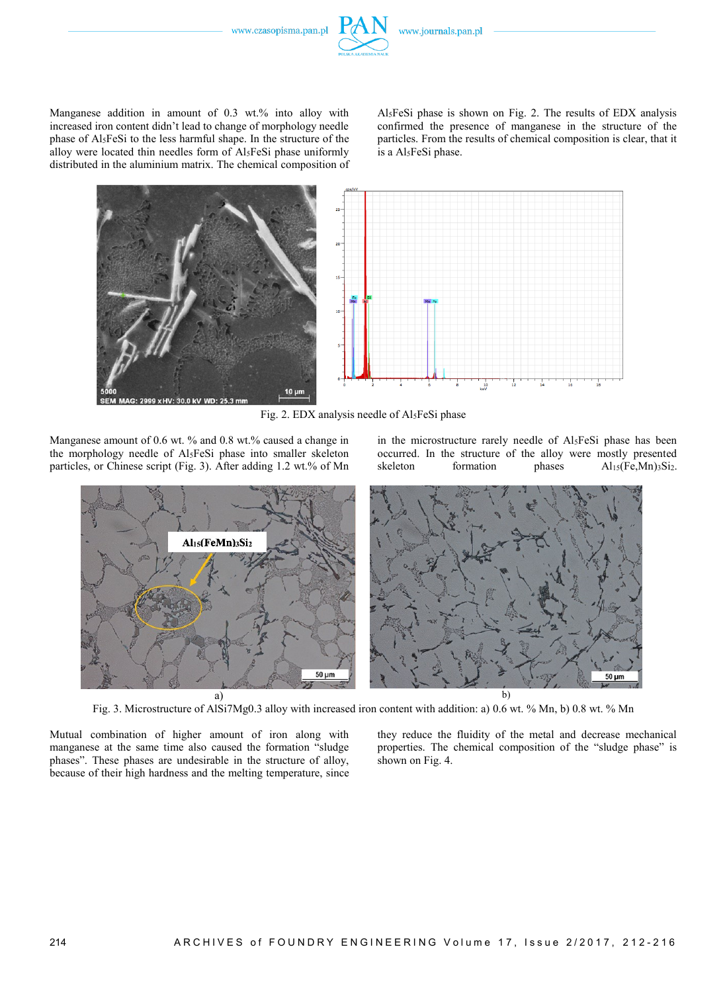

Al5FeSi phase is shown on Fig. 2. The results of EDX analysis confirmed the presence of manganese in the structure of the particles. From the results of chemical composition is clear, that it is a Al5FeSi phase.



Fig. 2. EDX analysis needle of Al5FeSi phase

Manganese amount of 0.6 wt. % and 0.8 wt.% caused a change in the morphology needle of Al5FeSi phase into smaller skeleton particles, or Chinese script (Fig. 3). After adding 1.2 wt.% of Mn

in the microstructure rarely needle of Al5FeSi phase has been occurred. In the structure of the alloy were mostly presented skeleton formation phases  $Al<sub>15</sub>(Fe,Mn)<sub>3</sub>Si<sub>2</sub>$ .



Fig. 3. Microstructure of AlSi7Mg0.3 alloy with increased iron content with addition: a) 0.6 wt. % Mn, b) 0.8 wt. % Mn

Mutual combination of higher amount of iron along with manganese at the same time also caused the formation "sludge phases". These phases are undesirable in the structure of alloy, because of their high hardness and the melting temperature, since

they reduce the fluidity of the metal and decrease mechanical properties. The chemical composition of the "sludge phase" is shown on Fig. 4.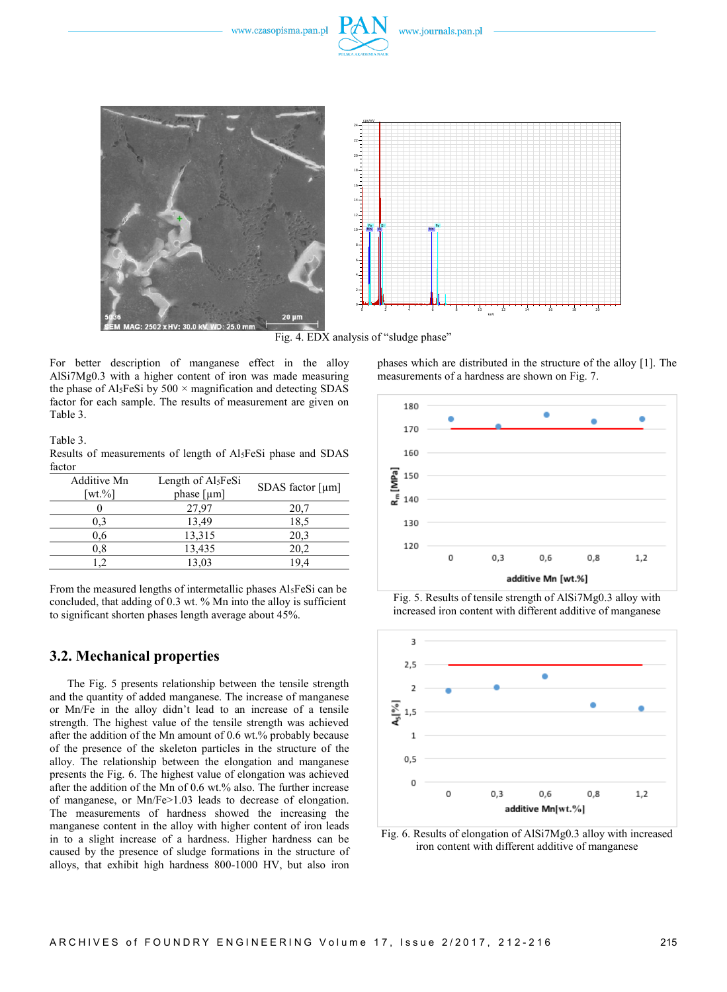



Fig. 4. EDX analysis of "sludge phase"

For better description of manganese effect in the alloy AlSi7Mg0.3 with a higher content of iron was made measuring the phase of Al<sub>5</sub>FeSi by  $500 \times$  magnification and detecting SDAS factor for each sample. The results of measurement are given on Table 3.

Table 3.

Results of measurements of length of Al5FeSi phase and SDAS factor

| Additive Mn<br>[wt. $\%$ ] | Length of Al <sub>5</sub> FeSi<br>phase $\lceil \mu m \rceil$ | SDAS factor $[µm]$ |  |  |  |
|----------------------------|---------------------------------------------------------------|--------------------|--|--|--|
|                            | 27,97                                                         | 20,7               |  |  |  |
| 0.3                        | 13,49                                                         | 18,5               |  |  |  |
| 0.6                        | 13,315                                                        | 20,3               |  |  |  |
| $_{0.8}$                   | 13,435                                                        | 20,2               |  |  |  |
|                            | 13,03                                                         | 194                |  |  |  |

From the measured lengths of intermetallic phases Al5FeSi can be concluded, that adding of 0.3 wt. % Mn into the alloy is sufficient to significant shorten phases length average about 45%.

#### **3.2. Mechanical properties**

The Fig. 5 presents relationship between the tensile strength and the quantity of added manganese. The increase of manganese or Mn/Fe in the alloy didn't lead to an increase of a tensile strength. The highest value of the tensile strength was achieved after the addition of the Mn amount of 0.6 wt.% probably because of the presence of the skeleton particles in the structure of the alloy. The relationship between the elongation and manganese presents the Fig. 6. The highest value of elongation was achieved after the addition of the Mn of 0.6 wt.% also. The further increase of manganese, or Mn/Fe>1.03 leads to decrease of elongation. The measurements of hardness showed the increasing the manganese content in the alloy with higher content of iron leads in to a slight increase of a hardness. Higher hardness can be caused by the presence of sludge formations in the structure of alloys, that exhibit high hardness 800-1000 HV, but also iron

phases which are distributed in the structure of the alloy [1]. The measurements of a hardness are shown on Fig. 7.



Fig. 5. Results of tensile strength of AlSi7Mg0.3 alloy with increased iron content with different additive of manganese



Fig. 6. Results of elongation of AlSi7Mg0.3 alloy with increased iron content with different additive of manganese